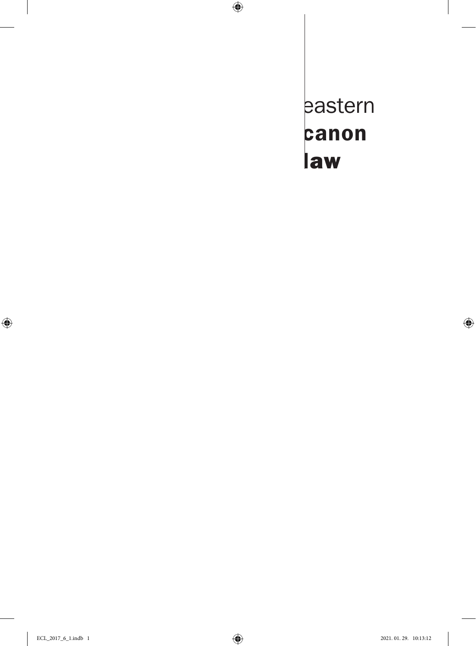eastern canon law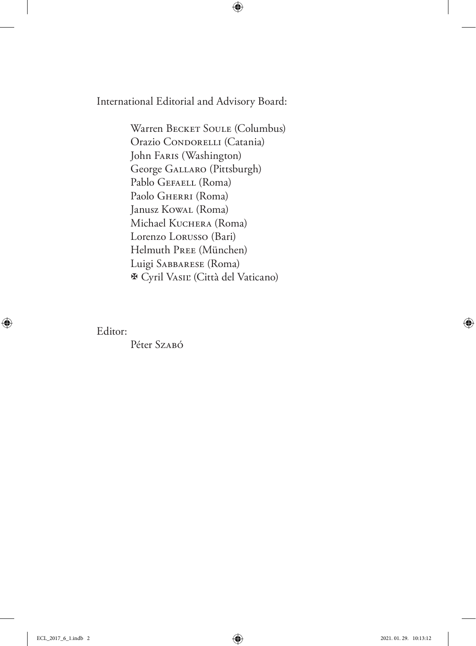International Editorial and Advisory Board:

Warren BECKET SOULE (Columbus) Orazio CONDORELLI (Catania) John Faris (Washington) George Gallaro (Pittsburgh) Pablo GEFAELL (Roma) Paolo GHERRI (Roma) Janusz Kowal (Roma) Michael Kuchera (Roma) Lorenzo Lorusso (Bari) Helmuth Pree (München) Luigi Sabbarese (Roma) Cyril Vasiľ (Città del Vaticano)

Editor:

Péter Szabó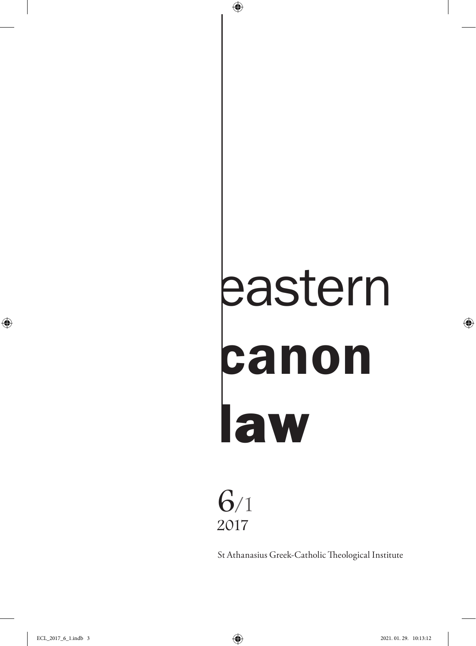# eastern canon law

# 6/1 2017

St Athanasius Greek-Catholic Theological Institute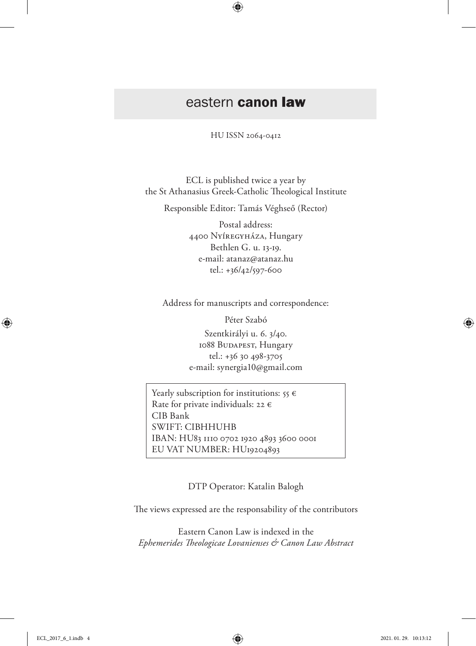## eastern canon law

HU ISSN 2064-0412

ECL is published twice a year by the St Athanasius Greek-Catholic Theological Institute

Responsible Editor: Tamás Véghseő (Rector)

Postal address: 4400 Nyíregyháza, Hungary Bethlen G. u. 13-19. e-mail: atanaz@atanaz.hu tel.: +36/42/597-600

Address for manuscripts and correspondence:

Péter Szabó Szentkirályi u. 6. 3/40. 1088 BUDAPEST, Hungary tel.: +36 30 498-3705 e-mail: synergia10@gmail.com

Yearly subscription for institutions:  $55 \in$ Rate for private individuals: 22  $\epsilon$ CIB Bank SWIFT: CIBHHUHB IBAN: HU83 1110 0702 1920 4893 3600 0001 EU VAT NUMBER: HU19204893

DTP Operator: Katalin Balogh

The views expressed are the responsability of the contributors

Eastern Canon Law is indexed in the *Ephemerides Theologicae Lovanienses & Canon Law Abstract*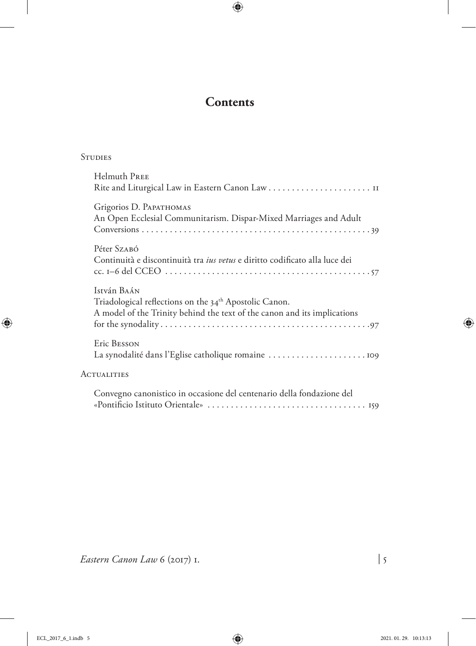### **Contents**

| --<br>--<br>×<br>- -<br>.,<br>۰.<br>۰.<br>.,<br>۰. |
|----------------------------------------------------|
|----------------------------------------------------|

| <b>Helmuth PREE</b>                                                                                                                                           |
|---------------------------------------------------------------------------------------------------------------------------------------------------------------|
| Grigorios D. PAPATHOMAS<br>An Open Ecclesial Communitarism. Dispar-Mixed Marriages and Adult                                                                  |
| Péter Szabó<br>Continuità e discontinuità tra ius vetus e diritto codificato alla luce dei                                                                    |
| István Baán<br>Triadological reflections on the 34 <sup>th</sup> Apostolic Canon.<br>A model of the Trinity behind the text of the canon and its implications |
| Eric BESSON<br>La synodalité dans l'Eglise catholique romaine                                                                                                 |
| <b>ACTUALITIES</b>                                                                                                                                            |
| Convegno canonistico in occasione del centenario della fondazione del                                                                                         |